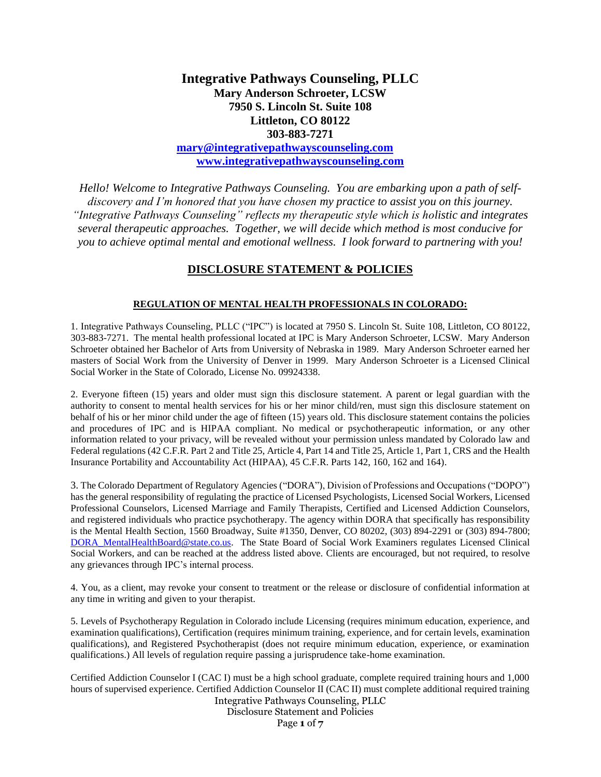# **Integrative Pathways Counseling, PLLC Mary Anderson Schroeter, LCSW 7950 S. Lincoln St. Suite 108 Littleton, CO 80122 303-883-7271**

**[mary@integrativepathwayscounseling.com](mailto:mary@integrativepathwayscounseling.com) [www.integrativepathwayscounseling.com](http://www.integrativepathwayscounseling.com/)**

*Hello! Welcome to Integrative Pathways Counseling. You are embarking upon a path of selfdiscovery and I'm honored that you have chosen my practice to assist you on this journey. "Integrative Pathways Counseling" reflects my therapeutic style which is holistic and integrates several therapeutic approaches. Together, we will decide which method is most conducive for you to achieve optimal mental and emotional wellness. I look forward to partnering with you!*

# **DISCLOSURE STATEMENT & POLICIES**

# **REGULATION OF MENTAL HEALTH PROFESSIONALS IN COLORADO:**

1. Integrative Pathways Counseling, PLLC ("IPC") is located at 7950 S. Lincoln St. Suite 108, Littleton, CO 80122, 303-883-7271. The mental health professional located at IPC is Mary Anderson Schroeter, LCSW. Mary Anderson Schroeter obtained her Bachelor of Arts from University of Nebraska in 1989. Mary Anderson Schroeter earned her masters of Social Work from the University of Denver in 1999. Mary Anderson Schroeter is a Licensed Clinical Social Worker in the State of Colorado, License No. 09924338.

2. Everyone fifteen (15) years and older must sign this disclosure statement. A parent or legal guardian with the authority to consent to mental health services for his or her minor child/ren, must sign this disclosure statement on behalf of his or her minor child under the age of fifteen (15) years old. This disclosure statement contains the policies and procedures of IPC and is HIPAA compliant. No medical or psychotherapeutic information, or any other information related to your privacy, will be revealed without your permission unless mandated by Colorado law and Federal regulations (42 C.F.R. Part 2 and Title 25, Article 4, Part 14 and Title 25, Article 1, Part 1, CRS and the Health Insurance Portability and Accountability Act (HIPAA), 45 C.F.R. Parts 142, 160, 162 and 164).

3. The Colorado Department of Regulatory Agencies ("DORA"), Division of Professions and Occupations ("DOPO") has the general responsibility of regulating the practice of Licensed Psychologists, Licensed Social Workers, Licensed Professional Counselors, Licensed Marriage and Family Therapists, Certified and Licensed Addiction Counselors, and registered individuals who practice psychotherapy. The agency within DORA that specifically has responsibility is the Mental Health Section, 1560 Broadway, Suite #1350, Denver, CO 80202, (303) 894-2291 or (303) 894-7800; [DORA\\_MentalHealthBoard@state.co.us.](javascript:void(location.href=) The State Board of Social Work Examiners regulates Licensed Clinical Social Workers, and can be reached at the address listed above. Clients are encouraged, but not required, to resolve any grievances through IPC's internal process.

4. You, as a client, may revoke your consent to treatment or the release or disclosure of confidential information at any time in writing and given to your therapist.

5. Levels of Psychotherapy Regulation in Colorado include Licensing (requires minimum education, experience, and examination qualifications), Certification (requires minimum training, experience, and for certain levels, examination qualifications), and Registered Psychotherapist (does not require minimum education, experience, or examination qualifications.) All levels of regulation require passing a jurisprudence take-home examination.

Integrative Pathways Counseling, PLLC Certified Addiction Counselor I (CAC I) must be a high school graduate, complete required training hours and 1,000 hours of supervised experience. Certified Addiction Counselor II (CAC II) must complete additional required training

Disclosure Statement and Policies

Page **1** of **7**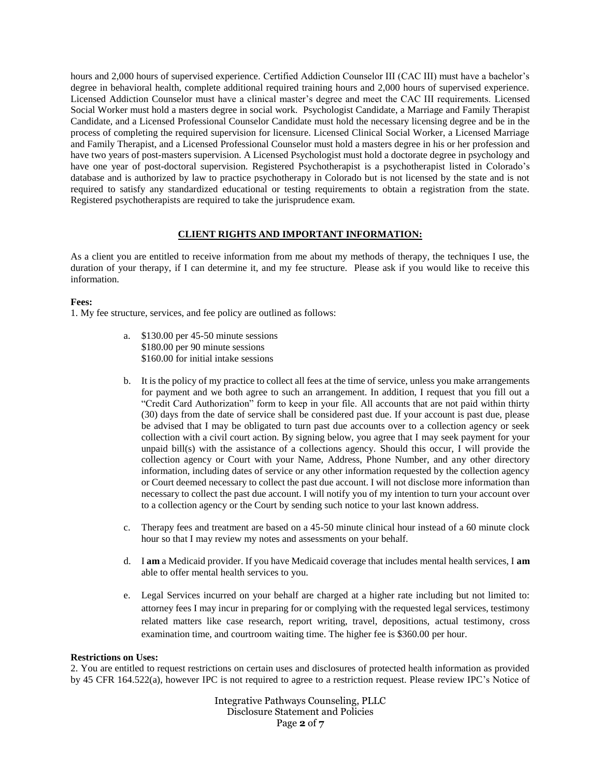hours and 2,000 hours of supervised experience. Certified Addiction Counselor III (CAC III) must have a bachelor's degree in behavioral health, complete additional required training hours and 2,000 hours of supervised experience. Licensed Addiction Counselor must have a clinical master's degree and meet the CAC III requirements. Licensed Social Worker must hold a masters degree in social work. Psychologist Candidate, a Marriage and Family Therapist Candidate, and a Licensed Professional Counselor Candidate must hold the necessary licensing degree and be in the process of completing the required supervision for licensure. Licensed Clinical Social Worker, a Licensed Marriage and Family Therapist, and a Licensed Professional Counselor must hold a masters degree in his or her profession and have two years of post-masters supervision. A Licensed Psychologist must hold a doctorate degree in psychology and have one year of post-doctoral supervision. Registered Psychotherapist is a psychotherapist listed in Colorado's database and is authorized by law to practice psychotherapy in Colorado but is not licensed by the state and is not required to satisfy any standardized educational or testing requirements to obtain a registration from the state. Registered psychotherapists are required to take the jurisprudence exam.

# **CLIENT RIGHTS AND IMPORTANT INFORMATION:**

As a client you are entitled to receive information from me about my methods of therapy, the techniques I use, the duration of your therapy, if I can determine it, and my fee structure. Please ask if you would like to receive this information.

# **Fees:**

1. My fee structure, services, and fee policy are outlined as follows:

- a. \$130.00 per 45-50 minute sessions \$180.00 per 90 minute sessions \$160.00 for initial intake sessions
- b. It is the policy of my practice to collect all fees at the time of service, unless you make arrangements for payment and we both agree to such an arrangement. In addition, I request that you fill out a "Credit Card Authorization" form to keep in your file. All accounts that are not paid within thirty (30) days from the date of service shall be considered past due. If your account is past due, please be advised that I may be obligated to turn past due accounts over to a collection agency or seek collection with a civil court action. By signing below, you agree that I may seek payment for your unpaid bill(s) with the assistance of a collections agency. Should this occur, I will provide the collection agency or Court with your Name, Address, Phone Number, and any other directory information, including dates of service or any other information requested by the collection agency or Court deemed necessary to collect the past due account. I will not disclose more information than necessary to collect the past due account. I will notify you of my intention to turn your account over to a collection agency or the Court by sending such notice to your last known address.
- c. Therapy fees and treatment are based on a 45-50 minute clinical hour instead of a 60 minute clock hour so that I may review my notes and assessments on your behalf.
- d. I **am** a Medicaid provider. If you have Medicaid coverage that includes mental health services, I **am** able to offer mental health services to you.
- e. Legal Services incurred on your behalf are charged at a higher rate including but not limited to: attorney fees I may incur in preparing for or complying with the requested legal services, testimony related matters like case research, report writing, travel, depositions, actual testimony, cross examination time, and courtroom waiting time. The higher fee is \$360.00 per hour.

## **Restrictions on Uses:**

2. You are entitled to request restrictions on certain uses and disclosures of protected health information as provided by 45 CFR 164.522(a), however IPC is not required to agree to a restriction request. Please review IPC's Notice of

> Integrative Pathways Counseling, PLLC Disclosure Statement and Policies Page **2** of **7**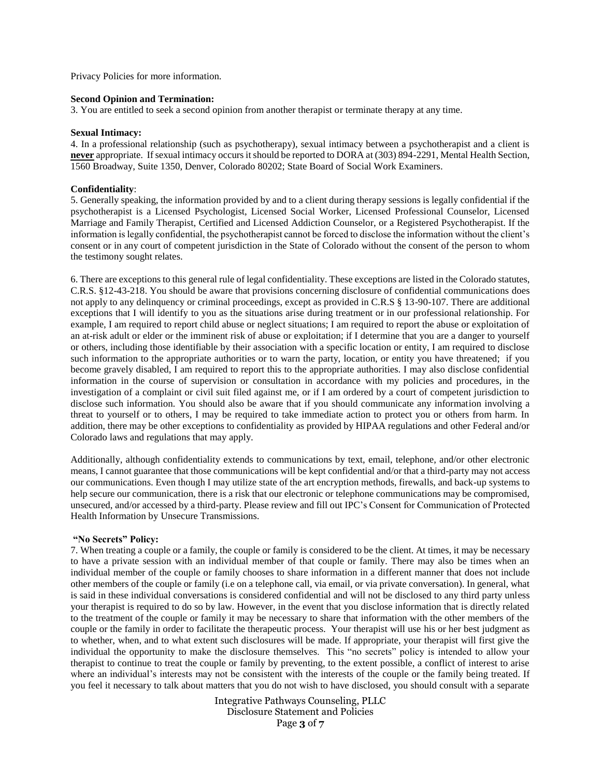Privacy Policies for more information.

## **Second Opinion and Termination:**

3. You are entitled to seek a second opinion from another therapist or terminate therapy at any time.

#### **Sexual Intimacy:**

4. In a professional relationship (such as psychotherapy), sexual intimacy between a psychotherapist and a client is **never** appropriate. If sexual intimacy occurs it should be reported to DORA at (303) 894-2291, Mental Health Section, 1560 Broadway, Suite 1350, Denver, Colorado 80202; State Board of Social Work Examiners.

#### **Confidentiality**:

5. Generally speaking, the information provided by and to a client during therapy sessions is legally confidential if the psychotherapist is a Licensed Psychologist, Licensed Social Worker, Licensed Professional Counselor, Licensed Marriage and Family Therapist, Certified and Licensed Addiction Counselor, or a Registered Psychotherapist. If the information is legally confidential, the psychotherapist cannot be forced to disclose the information without the client's consent or in any court of competent jurisdiction in the State of Colorado without the consent of the person to whom the testimony sought relates.

6. There are exceptions to this general rule of legal confidentiality. These exceptions are listed in the Colorado statutes, C.R.S. §12-43-218. You should be aware that provisions concerning disclosure of confidential communications does not apply to any delinquency or criminal proceedings, except as provided in C.R.S § 13-90-107. There are additional exceptions that I will identify to you as the situations arise during treatment or in our professional relationship. For example, I am required to report child abuse or neglect situations; I am required to report the abuse or exploitation of an at-risk adult or elder or the imminent risk of abuse or exploitation; if I determine that you are a danger to yourself or others, including those identifiable by their association with a specific location or entity, I am required to disclose such information to the appropriate authorities or to warn the party, location, or entity you have threatened; if you become gravely disabled, I am required to report this to the appropriate authorities. I may also disclose confidential information in the course of supervision or consultation in accordance with my policies and procedures, in the investigation of a complaint or civil suit filed against me, or if I am ordered by a court of competent jurisdiction to disclose such information. You should also be aware that if you should communicate any information involving a threat to yourself or to others, I may be required to take immediate action to protect you or others from harm. In addition, there may be other exceptions to confidentiality as provided by HIPAA regulations and other Federal and/or Colorado laws and regulations that may apply.

Additionally, although confidentiality extends to communications by text, email, telephone, and/or other electronic means, I cannot guarantee that those communications will be kept confidential and/or that a third-party may not access our communications. Even though I may utilize state of the art encryption methods, firewalls, and back-up systems to help secure our communication, there is a risk that our electronic or telephone communications may be compromised, unsecured, and/or accessed by a third-party. Please review and fill out IPC's Consent for Communication of Protected Health Information by Unsecure Transmissions.

#### **"No Secrets" Policy:**

7. When treating a couple or a family, the couple or family is considered to be the client. At times, it may be necessary to have a private session with an individual member of that couple or family. There may also be times when an individual member of the couple or family chooses to share information in a different manner that does not include other members of the couple or family (i.e on a telephone call, via email, or via private conversation). In general, what is said in these individual conversations is considered confidential and will not be disclosed to any third party unless your therapist is required to do so by law. However, in the event that you disclose information that is directly related to the treatment of the couple or family it may be necessary to share that information with the other members of the couple or the family in order to facilitate the therapeutic process. Your therapist will use his or her best judgment as to whether, when, and to what extent such disclosures will be made. If appropriate, your therapist will first give the individual the opportunity to make the disclosure themselves. This "no secrets" policy is intended to allow your therapist to continue to treat the couple or family by preventing, to the extent possible, a conflict of interest to arise where an individual's interests may not be consistent with the interests of the couple or the family being treated. If you feel it necessary to talk about matters that you do not wish to have disclosed, you should consult with a separate

> Integrative Pathways Counseling, PLLC Disclosure Statement and Policies Page **3** of **7**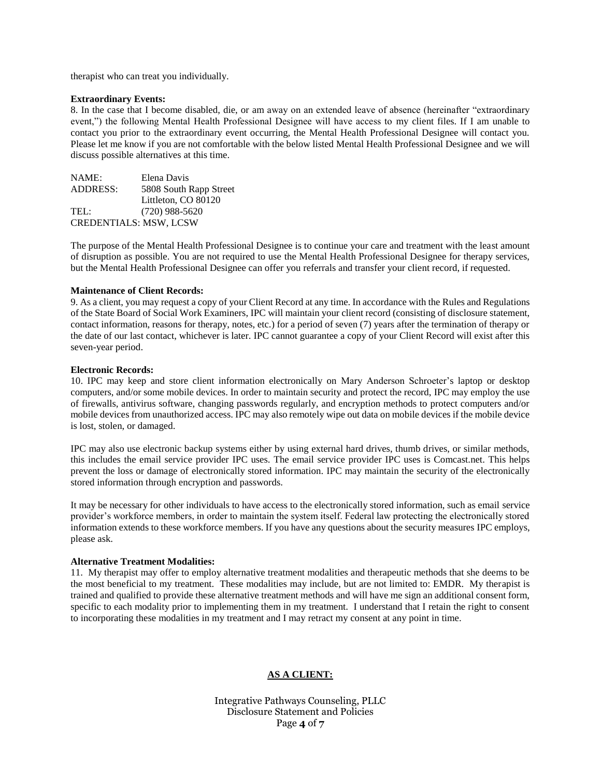therapist who can treat you individually.

## **Extraordinary Events:**

8. In the case that I become disabled, die, or am away on an extended leave of absence (hereinafter "extraordinary event,") the following Mental Health Professional Designee will have access to my client files. If I am unable to contact you prior to the extraordinary event occurring, the Mental Health Professional Designee will contact you. Please let me know if you are not comfortable with the below listed Mental Health Professional Designee and we will discuss possible alternatives at this time.

| NAME:                         | Elena Davis            |
|-------------------------------|------------------------|
| <b>ADDRESS:</b>               | 5808 South Rapp Street |
|                               | Littleton, CO 80120    |
| TEL:                          | $(720)$ 988-5620       |
| <b>CREDENTIALS: MSW, LCSW</b> |                        |

The purpose of the Mental Health Professional Designee is to continue your care and treatment with the least amount of disruption as possible. You are not required to use the Mental Health Professional Designee for therapy services, but the Mental Health Professional Designee can offer you referrals and transfer your client record, if requested.

## **Maintenance of Client Records:**

9. As a client, you may request a copy of your Client Record at any time. In accordance with the Rules and Regulations of the State Board of Social Work Examiners, IPC will maintain your client record (consisting of disclosure statement, contact information, reasons for therapy, notes, etc.) for a period of seven (7) years after the termination of therapy or the date of our last contact, whichever is later. IPC cannot guarantee a copy of your Client Record will exist after this seven-year period.

#### **Electronic Records:**

10. IPC may keep and store client information electronically on Mary Anderson Schroeter's laptop or desktop computers, and/or some mobile devices. In order to maintain security and protect the record, IPC may employ the use of firewalls, antivirus software, changing passwords regularly, and encryption methods to protect computers and/or mobile devices from unauthorized access. IPC may also remotely wipe out data on mobile devices if the mobile device is lost, stolen, or damaged.

IPC may also use electronic backup systems either by using external hard drives, thumb drives, or similar methods, this includes the email service provider IPC uses. The email service provider IPC uses is Comcast.net. This helps prevent the loss or damage of electronically stored information. IPC may maintain the security of the electronically stored information through encryption and passwords.

It may be necessary for other individuals to have access to the electronically stored information, such as email service provider's workforce members, in order to maintain the system itself. Federal law protecting the electronically stored information extends to these workforce members. If you have any questions about the security measures IPC employs, please ask.

## **Alternative Treatment Modalities:**

11. My therapist may offer to employ alternative treatment modalities and therapeutic methods that she deems to be the most beneficial to my treatment. These modalities may include, but are not limited to: EMDR. My therapist is trained and qualified to provide these alternative treatment methods and will have me sign an additional consent form, specific to each modality prior to implementing them in my treatment. I understand that I retain the right to consent to incorporating these modalities in my treatment and I may retract my consent at any point in time.

# **AS A CLIENT:**

Integrative Pathways Counseling, PLLC Disclosure Statement and Policies Page **4** of **7**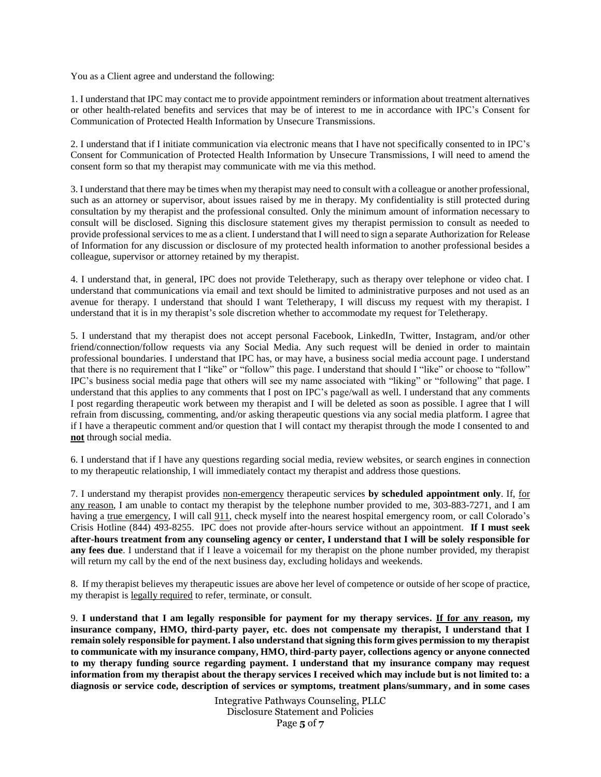You as a Client agree and understand the following:

1. I understand that IPC may contact me to provide appointment reminders or information about treatment alternatives or other health-related benefits and services that may be of interest to me in accordance with IPC's Consent for Communication of Protected Health Information by Unsecure Transmissions.

2. I understand that if I initiate communication via electronic means that I have not specifically consented to in IPC's Consent for Communication of Protected Health Information by Unsecure Transmissions, I will need to amend the consent form so that my therapist may communicate with me via this method.

3. I understand that there may be times when my therapist may need to consult with a colleague or another professional, such as an attorney or supervisor, about issues raised by me in therapy. My confidentiality is still protected during consultation by my therapist and the professional consulted. Only the minimum amount of information necessary to consult will be disclosed. Signing this disclosure statement gives my therapist permission to consult as needed to provide professional services to me as a client. I understand that I will need to sign a separate Authorization for Release of Information for any discussion or disclosure of my protected health information to another professional besides a colleague, supervisor or attorney retained by my therapist.

4. I understand that, in general, IPC does not provide Teletherapy, such as therapy over telephone or video chat. I understand that communications via email and text should be limited to administrative purposes and not used as an avenue for therapy. I understand that should I want Teletherapy, I will discuss my request with my therapist. I understand that it is in my therapist's sole discretion whether to accommodate my request for Teletherapy.

5. I understand that my therapist does not accept personal Facebook, LinkedIn, Twitter, Instagram, and/or other friend/connection/follow requests via any Social Media. Any such request will be denied in order to maintain professional boundaries. I understand that IPC has, or may have, a business social media account page. I understand that there is no requirement that I "like" or "follow" this page. I understand that should I "like" or choose to "follow" IPC's business social media page that others will see my name associated with "liking" or "following" that page. I understand that this applies to any comments that I post on IPC's page/wall as well. I understand that any comments I post regarding therapeutic work between my therapist and I will be deleted as soon as possible. I agree that I will refrain from discussing, commenting, and/or asking therapeutic questions via any social media platform. I agree that if I have a therapeutic comment and/or question that I will contact my therapist through the mode I consented to and **not** through social media.

6. I understand that if I have any questions regarding social media, review websites, or search engines in connection to my therapeutic relationship, I will immediately contact my therapist and address those questions.

7. I understand my therapist provides non-emergency therapeutic services **by scheduled appointment only**. If, for any reason, I am unable to contact my therapist by the telephone number provided to me, 303-883-7271, and I am having a true emergency, I will call 911, check myself into the nearest hospital emergency room, or call Colorado's Crisis Hotline (844) 493-8255. IPC does not provide after-hours service without an appointment. **If I must seek after-hours treatment from any counseling agency or center, I understand that I will be solely responsible for any fees due**. I understand that if I leave a voicemail for my therapist on the phone number provided, my therapist will return my call by the end of the next business day, excluding holidays and weekends.

8. If my therapist believes my therapeutic issues are above her level of competence or outside of her scope of practice, my therapist is legally required to refer, terminate, or consult.

9. **I understand that I am legally responsible for payment for my therapy services. If for any reason, my insurance company, HMO, third-party payer, etc. does not compensate my therapist, I understand that I remain solely responsible for payment. I also understand that signing this form gives permission to my therapist to communicate with my insurance company, HMO, third-party payer, collections agency or anyone connected to my therapy funding source regarding payment. I understand that my insurance company may request information from my therapist about the therapy services I received which may include but is not limited to: a diagnosis or service code, description of services or symptoms, treatment plans/summary, and in some cases** 

> Integrative Pathways Counseling, PLLC Disclosure Statement and Policies Page **5** of **7**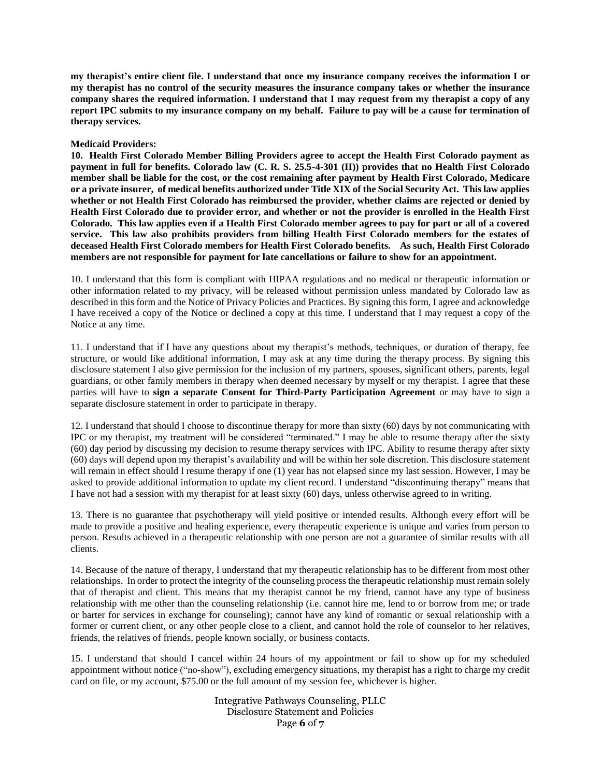**my therapist's entire client file. I understand that once my insurance company receives the information I or my therapist has no control of the security measures the insurance company takes or whether the insurance company shares the required information. I understand that I may request from my therapist a copy of any report IPC submits to my insurance company on my behalf. Failure to pay will be a cause for termination of therapy services.** 

# **Medicaid Providers:**

**10. Health First Colorado Member Billing Providers agree to accept the Health First Colorado payment as payment in full for benefits. Colorado law (C. R. S. 25.5-4-301 (II)) provides that no Health First Colorado member shall be liable for the cost, or the cost remaining after payment by Health First Colorado, Medicare or a private insurer, of medical benefits authorized under Title XIX of the Social Security Act. This law applies whether or not Health First Colorado has reimbursed the provider, whether claims are rejected or denied by Health First Colorado due to provider error, and whether or not the provider is enrolled in the Health First Colorado. This law applies even if a Health First Colorado member agrees to pay for part or all of a covered service. This law also prohibits providers from billing Health First Colorado members for the estates of deceased Health First Colorado members for Health First Colorado benefits. As such, Health First Colorado members are not responsible for payment for late cancellations or failure to show for an appointment.** 

10. I understand that this form is compliant with HIPAA regulations and no medical or therapeutic information or other information related to my privacy, will be released without permission unless mandated by Colorado law as described in this form and the Notice of Privacy Policies and Practices. By signing this form, I agree and acknowledge I have received a copy of the Notice or declined a copy at this time. I understand that I may request a copy of the Notice at any time.

11. I understand that if I have any questions about my therapist's methods, techniques, or duration of therapy, fee structure, or would like additional information, I may ask at any time during the therapy process. By signing this disclosure statement I also give permission for the inclusion of my partners, spouses, significant others, parents, legal guardians, or other family members in therapy when deemed necessary by myself or my therapist. I agree that these parties will have to **sign a separate Consent for Third-Party Participation Agreement** or may have to sign a separate disclosure statement in order to participate in therapy.

12. I understand that should I choose to discontinue therapy for more than sixty (60) days by not communicating with IPC or my therapist, my treatment will be considered "terminated." I may be able to resume therapy after the sixty (60) day period by discussing my decision to resume therapy services with IPC. Ability to resume therapy after sixty (60) days will depend upon my therapist's availability and will be within her sole discretion. This disclosure statement will remain in effect should I resume therapy if one (1) year has not elapsed since my last session. However, I may be asked to provide additional information to update my client record. I understand "discontinuing therapy" means that I have not had a session with my therapist for at least sixty (60) days, unless otherwise agreed to in writing.

13. There is no guarantee that psychotherapy will yield positive or intended results. Although every effort will be made to provide a positive and healing experience, every therapeutic experience is unique and varies from person to person. Results achieved in a therapeutic relationship with one person are not a guarantee of similar results with all clients.

14. Because of the nature of therapy, I understand that my therapeutic relationship has to be different from most other relationships. In order to protect the integrity of the counseling process the therapeutic relationship must remain solely that of therapist and client. This means that my therapist cannot be my friend, cannot have any type of business relationship with me other than the counseling relationship (i.e. cannot hire me, lend to or borrow from me; or trade or barter for services in exchange for counseling); cannot have any kind of romantic or sexual relationship with a former or current client, or any other people close to a client, and cannot hold the role of counselor to her relatives, friends, the relatives of friends, people known socially, or business contacts.

15. I understand that should I cancel within 24 hours of my appointment or fail to show up for my scheduled appointment without notice ("no-show"), excluding emergency situations, my therapist has a right to charge my credit card on file, or my account, \$75.00 or the full amount of my session fee, whichever is higher.

> Integrative Pathways Counseling, PLLC Disclosure Statement and Policies Page **6** of **7**